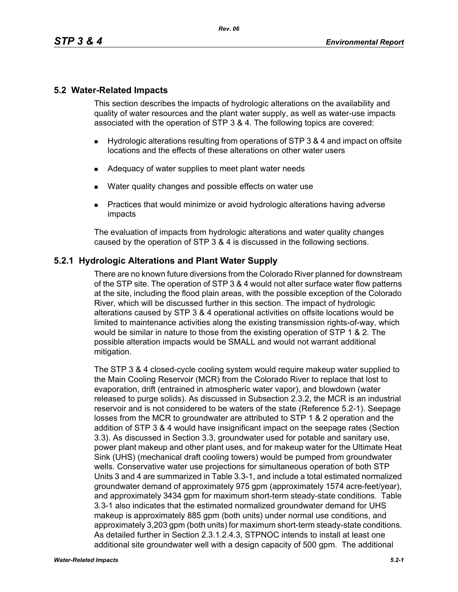## **5.2 Water-Related Impacts**

This section describes the impacts of hydrologic alterations on the availability and quality of water resources and the plant water supply, as well as water-use impacts associated with the operation of STP 3 & 4. The following topics are covered:

- Hydrologic alterations resulting from operations of STP 3 & 4 and impact on offsite locations and the effects of these alterations on other water users
- Adequacy of water supplies to meet plant water needs
- **Nater quality changes and possible effects on water use**
- **Practices that would minimize or avoid hydrologic alterations having adverse** impacts

The evaluation of impacts from hydrologic alterations and water quality changes caused by the operation of STP 3 & 4 is discussed in the following sections.

## **5.2.1 Hydrologic Alterations and Plant Water Supply**

There are no known future diversions from the Colorado River planned for downstream of the STP site. The operation of STP 3 & 4 would not alter surface water flow patterns at the site, including the flood plain areas, with the possible exception of the Colorado River, which will be discussed further in this section. The impact of hydrologic alterations caused by STP 3 & 4 operational activities on offsite locations would be limited to maintenance activities along the existing transmission rights-of-way, which would be similar in nature to those from the existing operation of STP 1 & 2. The possible alteration impacts would be SMALL and would not warrant additional mitigation.

The STP 3 & 4 closed-cycle cooling system would require makeup water supplied to the Main Cooling Reservoir (MCR) from the Colorado River to replace that lost to evaporation, drift (entrained in atmospheric water vapor), and blowdown (water released to purge solids). As discussed in Subsection 2.3.2, the MCR is an industrial reservoir and is not considered to be waters of the state (Reference 5.2-1). Seepage losses from the MCR to groundwater are attributed to STP 1 & 2 operation and the addition of STP 3 & 4 would have insignificant impact on the seepage rates (Section 3.3). As discussed in Section 3.3, groundwater used for potable and sanitary use, power plant makeup and other plant uses, and for makeup water for the Ultimate Heat Sink (UHS) (mechanical draft cooling towers) would be pumped from groundwater wells. Conservative water use projections for simultaneous operation of both STP Units 3 and 4 are summarized in Table 3.3-1, and include a total estimated normalized groundwater demand of approximately 975 gpm (approximately 1574 acre-feet/year), and approximately 3434 gpm for maximum short-term steady-state conditions. Table 3.3-1 also indicates that the estimated normalized groundwater demand for UHS makeup is approximately 885 gpm (both units) under normal use conditions, and approximately 3,203 gpm (both units) for maximum short-term steady-state conditions. As detailed further in Section 2.3.1.2.4.3, STPNOC intends to install at least one additional site groundwater well with a design capacity of 500 gpm. The additional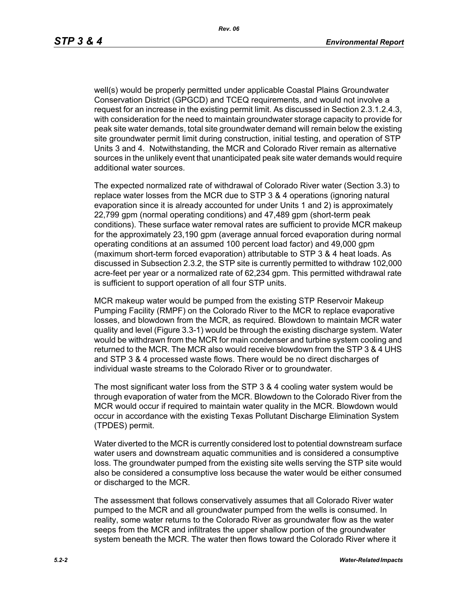well(s) would be properly permitted under applicable Coastal Plains Groundwater Conservation District (GPGCD) and TCEQ requirements, and would not involve a request for an increase in the existing permit limit. As discussed in Section 2.3.1.2.4.3, with consideration for the need to maintain groundwater storage capacity to provide for peak site water demands, total site groundwater demand will remain below the existing site groundwater permit limit during construction, initial testing, and operation of STP Units 3 and 4. Notwithstanding, the MCR and Colorado River remain as alternative sources in the unlikely event that unanticipated peak site water demands would require additional water sources.

The expected normalized rate of withdrawal of Colorado River water (Section 3.3) to replace water losses from the MCR due to STP 3 & 4 operations (ignoring natural evaporation since it is already accounted for under Units 1 and 2) is approximately 22,799 gpm (normal operating conditions) and 47,489 gpm (short-term peak conditions). These surface water removal rates are sufficient to provide MCR makeup for the approximately 23,190 gpm (average annual forced evaporation during normal operating conditions at an assumed 100 percent load factor) and 49,000 gpm (maximum short-term forced evaporation) attributable to STP 3 & 4 heat loads. As discussed in Subsection 2.3.2, the STP site is currently permitted to withdraw 102,000 acre-feet per year or a normalized rate of 62,234 gpm. This permitted withdrawal rate is sufficient to support operation of all four STP units.

MCR makeup water would be pumped from the existing STP Reservoir Makeup Pumping Facility (RMPF) on the Colorado River to the MCR to replace evaporative losses, and blowdown from the MCR, as required. Blowdown to maintain MCR water quality and level (Figure 3.3-1) would be through the existing discharge system. Water would be withdrawn from the MCR for main condenser and turbine system cooling and returned to the MCR. The MCR also would receive blowdown from the STP 3 & 4 UHS and STP 3 & 4 processed waste flows. There would be no direct discharges of individual waste streams to the Colorado River or to groundwater*.*

The most significant water loss from the STP 3 & 4 cooling water system would be through evaporation of water from the MCR. Blowdown to the Colorado River from the MCR would occur if required to maintain water quality in the MCR. Blowdown would occur in accordance with the existing Texas Pollutant Discharge Elimination System (TPDES) permit.

Water diverted to the MCR is currently considered lost to potential downstream surface water users and downstream aquatic communities and is considered a consumptive loss. The groundwater pumped from the existing site wells serving the STP site would also be considered a consumptive loss because the water would be either consumed or discharged to the MCR.

The assessment that follows conservatively assumes that all Colorado River water pumped to the MCR and all groundwater pumped from the wells is consumed. In reality, some water returns to the Colorado River as groundwater flow as the water seeps from the MCR and infiltrates the upper shallow portion of the groundwater system beneath the MCR. The water then flows toward the Colorado River where it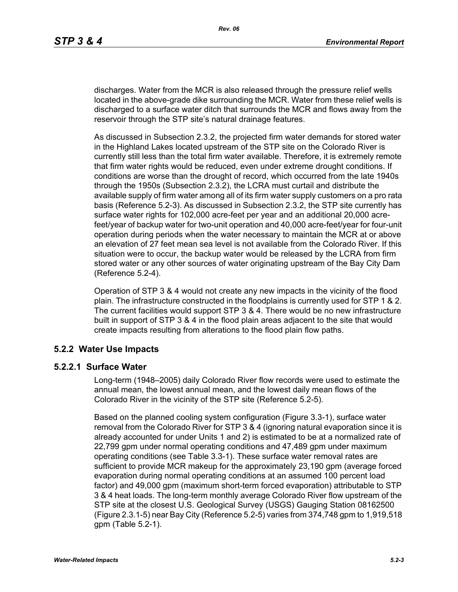discharges. Water from the MCR is also released through the pressure relief wells located in the above-grade dike surrounding the MCR. Water from these relief wells is discharged to a surface water ditch that surrounds the MCR and flows away from the reservoir through the STP site's natural drainage features.

As discussed in Subsection 2.3.2, the projected firm water demands for stored water in the Highland Lakes located upstream of the STP site on the Colorado River is currently still less than the total firm water available. Therefore, it is extremely remote that firm water rights would be reduced, even under extreme drought conditions. If conditions are worse than the drought of record, which occurred from the late 1940s through the 1950s (Subsection 2.3.2), the LCRA must curtail and distribute the available supply of firm water among all of its firm water supply customers on a pro rata basis (Reference 5.2-3). As discussed in Subsection 2.3.2, the STP site currently has surface water rights for 102,000 acre-feet per year and an additional 20,000 acrefeet/year of backup water for two-unit operation and 40,000 acre-feet/year for four-unit operation during periods when the water necessary to maintain the MCR at or above an elevation of 27 feet mean sea level is not available from the Colorado River. If this situation were to occur, the backup water would be released by the LCRA from firm stored water or any other sources of water originating upstream of the Bay City Dam (Reference 5.2-4).

Operation of STP 3 & 4 would not create any new impacts in the vicinity of the flood plain. The infrastructure constructed in the floodplains is currently used for STP 1 & 2. The current facilities would support STP 3 & 4. There would be no new infrastructure built in support of STP 3 & 4 in the flood plain areas adjacent to the site that would create impacts resulting from alterations to the flood plain flow paths.

## **5.2.2 Water Use Impacts**

#### **5.2.2.1 Surface Water**

Long-term (1948–2005) daily Colorado River flow records were used to estimate the annual mean, the lowest annual mean, and the lowest daily mean flows of the Colorado River in the vicinity of the STP site (Reference 5.2-5).

Based on the planned cooling system configuration (Figure 3.3-1), surface water removal from the Colorado River for STP 3 & 4 (ignoring natural evaporation since it is already accounted for under Units 1 and 2) is estimated to be at a normalized rate of 22,799 gpm under normal operating conditions and 47,489 gpm under maximum operating conditions (see Table 3.3-1). These surface water removal rates are sufficient to provide MCR makeup for the approximately 23,190 gpm (average forced evaporation during normal operating conditions at an assumed 100 percent load factor) and 49,000 gpm (maximum short-term forced evaporation) attributable to STP 3 & 4 heat loads. The long-term monthly average Colorado River flow upstream of the STP site at the closest U.S. Geological Survey (USGS) Gauging Station 08162500 (Figure 2.3.1-5) near Bay City (Reference 5.2-5) varies from 374,748 gpm to 1,919,518 gpm (Table 5.2-1).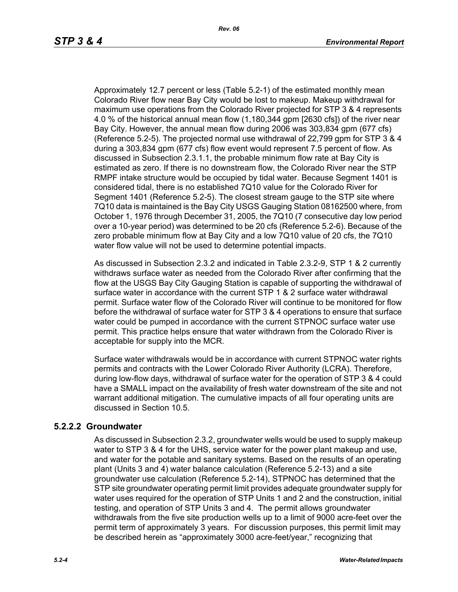Approximately 12.7 percent or less (Table 5.2-1) of the estimated monthly mean Colorado River flow near Bay City would be lost to makeup. Makeup withdrawal for maximum use operations from the Colorado River projected for STP 3 & 4 represents 4.0 % of the historical annual mean flow (1,180,344 gpm [2630 cfs]) of the river near Bay City. However, the annual mean flow during 2006 was 303,834 gpm (677 cfs) (Reference 5.2-5). The projected normal use withdrawal of 22,799 gpm for STP 3 & 4 during a 303,834 gpm (677 cfs) flow event would represent 7.5 percent of flow. As discussed in Subsection 2.3.1.1, the probable minimum flow rate at Bay City is estimated as zero. If there is no downstream flow, the Colorado River near the STP RMPF intake structure would be occupied by tidal water. Because Segment 1401 is considered tidal, there is no established 7Q10 value for the Colorado River for Segment 1401 (Reference 5.2-5). The closest stream gauge to the STP site where 7Q10 data is maintained is the Bay City USGS Gauging Station 08162500 where, from October 1, 1976 through December 31, 2005, the 7Q10 (7 consecutive day low period over a 10-year period) was determined to be 20 cfs (Reference 5.2-6). Because of the zero probable minimum flow at Bay City and a low 7Q10 value of 20 cfs, the 7Q10 water flow value will not be used to determine potential impacts.

As discussed in Subsection 2.3.2 and indicated in Table 2.3.2-9, STP 1 & 2 currently withdraws surface water as needed from the Colorado River after confirming that the flow at the USGS Bay City Gauging Station is capable of supporting the withdrawal of surface water in accordance with the current STP 1 & 2 surface water withdrawal permit. Surface water flow of the Colorado River will continue to be monitored for flow before the withdrawal of surface water for STP 3 & 4 operations to ensure that surface water could be pumped in accordance with the current STPNOC surface water use permit. This practice helps ensure that water withdrawn from the Colorado River is acceptable for supply into the MCR.

Surface water withdrawals would be in accordance with current STPNOC water rights permits and contracts with the Lower Colorado River Authority (LCRA). Therefore, during low-flow days, withdrawal of surface water for the operation of STP 3 & 4 could have a SMALL impact on the availability of fresh water downstream of the site and not warrant additional mitigation. The cumulative impacts of all four operating units are discussed in Section 10.5.

## **5.2.2.2 Groundwater**

As discussed in Subsection 2.3.2, groundwater wells would be used to supply makeup water to STP 3 & 4 for the UHS, service water for the power plant makeup and use. and water for the potable and sanitary systems. Based on the results of an operating plant (Units 3 and 4) water balance calculation (Reference 5.2-13) and a site groundwater use calculation (Reference 5.2-14), STPNOC has determined that the STP site groundwater operating permit limit provides adequate groundwater supply for water uses required for the operation of STP Units 1 and 2 and the construction, initial testing, and operation of STP Units 3 and 4. The permit allows groundwater withdrawals from the five site production wells up to a limit of 9000 acre-feet over the permit term of approximately 3 years. For discussion purposes, this permit limit may be described herein as "approximately 3000 acre-feet/year," recognizing that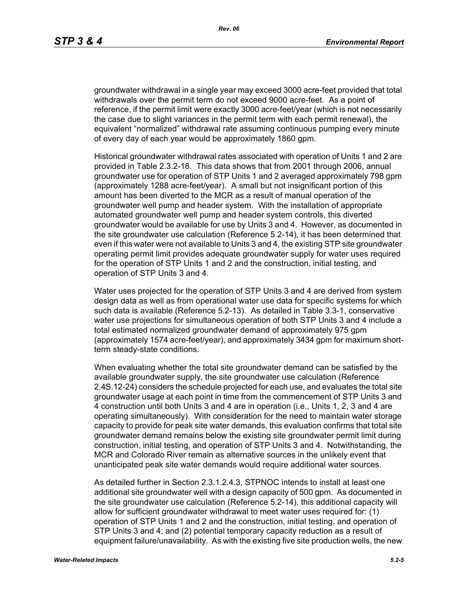groundwater withdrawal in a single year may exceed 3000 acre-feet provided that total withdrawals over the permit term do not exceed 9000 acre-feet. As a point of reference, if the permit limit were exactly 3000 acre-feet/year (which is not necessarily the case due to slight variances in the permit term with each permit renewal), the equivalent "normalized" withdrawal rate assuming continuous pumping every minute of every day of each year would be approximately 1860 gpm.

Historical groundwater withdrawal rates associated with operation of Units 1 and 2 are provided in Table 2.3.2-18. This data shows that from 2001 through 2006, annual groundwater use for operation of STP Units 1 and 2 averaged approximately 798 gpm (approximately 1288 acre-feet/year). A small but not insignificant portion of this amount has been diverted to the MCR as a result of manual operation of the groundwater well pump and header system. With the installation of appropriate automated groundwater well pump and header system controls, this diverted groundwater would be available for use by Units 3 and 4. However, as documented in the site groundwater use calculation (Reference 5.2-14), it has been determined that even if this water were not available to Units 3 and 4, the existing STP site groundwater operating permit limit provides adequate groundwater supply for water uses required for the operation of STP Units 1 and 2 and the construction, initial testing, and operation of STP Units 3 and 4.

Water uses projected for the operation of STP Units 3 and 4 are derived from system design data as well as from operational water use data for specific systems for which such data is available (Reference 5.2-13). As detailed in Table 3.3-1, conservative water use projections for simultaneous operation of both STP Units 3 and 4 include a total estimated normalized groundwater demand of approximately 975 gpm (approximately 1574 acre-feet/year), and approximately 3434 gpm for maximum shortterm steady-state conditions.

When evaluating whether the total site groundwater demand can be satisfied by the available groundwater supply, the site groundwater use calculation (Reference 2.4S.12-24) considers the schedule projected for each use, and evaluates the total site groundwater usage at each point in time from the commencement of STP Units 3 and 4 construction until both Units 3 and 4 are in operation (i.e., Units 1, 2, 3 and 4 are operating simultaneously). With consideration for the need to maintain water storage capacity to provide for peak site water demands, this evaluation confirms that total site groundwater demand remains below the existing site groundwater permit limit during construction, initial testing, and operation of STP Units 3 and 4. Notwithstanding, the MCR and Colorado River remain as alternative sources in the unlikely event that unanticipated peak site water demands would require additional water sources.

As detailed further in Section 2.3.1.2.4.3, STPNOC intends to install at least one additional site groundwater well with a design capacity of 500 gpm. As documented in the site groundwater use calculation (Reference 5.2-14), this additional capacity will allow for sufficient groundwater withdrawal to meet water uses required for: (1) operation of STP Units 1 and 2 and the construction, initial testing, and operation of STP Units 3 and 4; and (2) potential temporary capacity reduction as a result of equipment failure/unavailability. As with the existing five site production wells, the new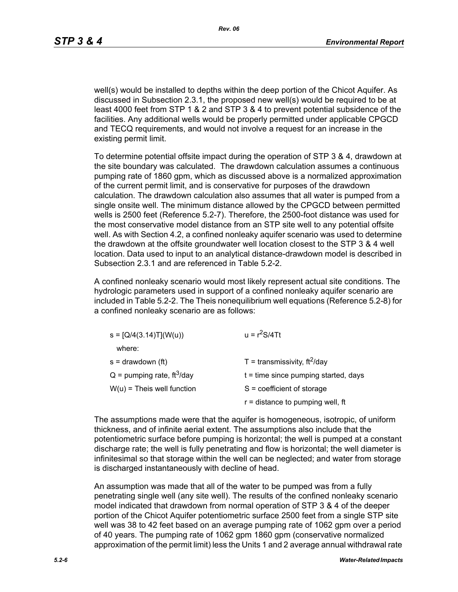well(s) would be installed to depths within the deep portion of the Chicot Aquifer. As discussed in Subsection 2.3.1, the proposed new well(s) would be required to be at least 4000 feet from STP 1 & 2 and STP 3 & 4 to prevent potential subsidence of the facilities. Any additional wells would be properly permitted under applicable CPGCD and TECQ requirements, and would not involve a request for an increase in the existing permit limit.

To determine potential offsite impact during the operation of STP 3 & 4, drawdown at the site boundary was calculated. The drawdown calculation assumes a continuous pumping rate of 1860 gpm, which as discussed above is a normalized approximation of the current permit limit, and is conservative for purposes of the drawdown calculation. The drawdown calculation also assumes that all water is pumped from a single onsite well. The minimum distance allowed by the CPGCD between permitted wells is 2500 feet (Reference 5.2-7). Therefore, the 2500-foot distance was used for the most conservative model distance from an STP site well to any potential offsite well. As with Section 4.2, a confined nonleaky aquifer scenario was used to determine the drawdown at the offsite groundwater well location closest to the STP 3 & 4 well location. Data used to input to an analytical distance-drawdown model is described in Subsection 2.3.1 and are referenced in Table 5.2-2.

A confined nonleaky scenario would most likely represent actual site conditions. The hydrologic parameters used in support of a confined nonleaky aquifer scenario are included in Table 5.2-2. The Theis nonequilibrium well equations (Reference 5.2-8) for a confined nonleaky scenario are as follows:

| $s = [Q/4(3.14)T](W(u))$                 | $u = r^2S/4Tt$                         |  |  |
|------------------------------------------|----------------------------------------|--|--|
| where:                                   |                                        |  |  |
| $s =$ drawdown (ft)                      | T = transmissivity, $ft^2$ /day        |  |  |
| $Q =$ pumping rate, ft <sup>3</sup> /day | $t =$ time since pumping started, days |  |  |
| $W(u)$ = Theis well function             | $S = coefficient of storage$           |  |  |
|                                          | $r =$ distance to pumping well, ft     |  |  |

The assumptions made were that the aquifer is homogeneous, isotropic, of uniform thickness, and of infinite aerial extent. The assumptions also include that the potentiometric surface before pumping is horizontal; the well is pumped at a constant discharge rate; the well is fully penetrating and flow is horizontal; the well diameter is infinitesimal so that storage within the well can be neglected; and water from storage is discharged instantaneously with decline of head.

An assumption was made that all of the water to be pumped was from a fully penetrating single well (any site well). The results of the confined nonleaky scenario model indicated that drawdown from normal operation of STP 3 & 4 of the deeper portion of the Chicot Aquifer potentiometric surface 2500 feet from a single STP site well was 38 to 42 feet based on an average pumping rate of 1062 gpm over a period of 40 years. The pumping rate of 1062 gpm 1860 gpm (conservative normalized approximation of the permit limit) less the Units 1 and 2 average annual withdrawal rate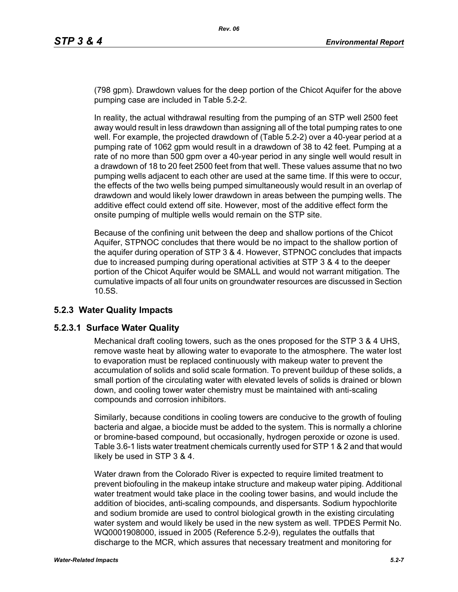(798 gpm). Drawdown values for the deep portion of the Chicot Aquifer for the above pumping case are included in Table 5.2-2.

In reality, the actual withdrawal resulting from the pumping of an STP well 2500 feet away would result in less drawdown than assigning all of the total pumping rates to one well. For example, the projected drawdown of (Table 5.2-2) over a 40-year period at a pumping rate of 1062 gpm would result in a drawdown of 38 to 42 feet. Pumping at a rate of no more than 500 gpm over a 40-year period in any single well would result in a drawdown of 18 to 20 feet 2500 feet from that well. These values assume that no two pumping wells adjacent to each other are used at the same time. If this were to occur, the effects of the two wells being pumped simultaneously would result in an overlap of drawdown and would likely lower drawdown in areas between the pumping wells. The additive effect could extend off site. However, most of the additive effect form the onsite pumping of multiple wells would remain on the STP site.

Because of the confining unit between the deep and shallow portions of the Chicot Aquifer, STPNOC concludes that there would be no impact to the shallow portion of the aquifer during operation of STP 3 & 4. However, STPNOC concludes that impacts due to increased pumping during operational activities at STP 3 & 4 to the deeper portion of the Chicot Aquifer would be SMALL and would not warrant mitigation. The cumulative impacts of all four units on groundwater resources are discussed in Section 10.5S.

# **5.2.3 Water Quality Impacts**

## **5.2.3.1 Surface Water Quality**

Mechanical draft cooling towers, such as the ones proposed for the STP 3 & 4 UHS, remove waste heat by allowing water to evaporate to the atmosphere. The water lost to evaporation must be replaced continuously with makeup water to prevent the accumulation of solids and solid scale formation. To prevent buildup of these solids, a small portion of the circulating water with elevated levels of solids is drained or blown down, and cooling tower water chemistry must be maintained with anti-scaling compounds and corrosion inhibitors.

Similarly, because conditions in cooling towers are conducive to the growth of fouling bacteria and algae, a biocide must be added to the system. This is normally a chlorine or bromine-based compound, but occasionally, hydrogen peroxide or ozone is used. Table 3.6-1 lists water treatment chemicals currently used for STP 1 & 2 and that would likely be used in STP 3 & 4.

Water drawn from the Colorado River is expected to require limited treatment to prevent biofouling in the makeup intake structure and makeup water piping. Additional water treatment would take place in the cooling tower basins, and would include the addition of biocides, anti-scaling compounds, and dispersants. Sodium hypochlorite and sodium bromide are used to control biological growth in the existing circulating water system and would likely be used in the new system as well. TPDES Permit No. WQ0001908000, issued in 2005 (Reference 5.2-9), regulates the outfalls that discharge to the MCR, which assures that necessary treatment and monitoring for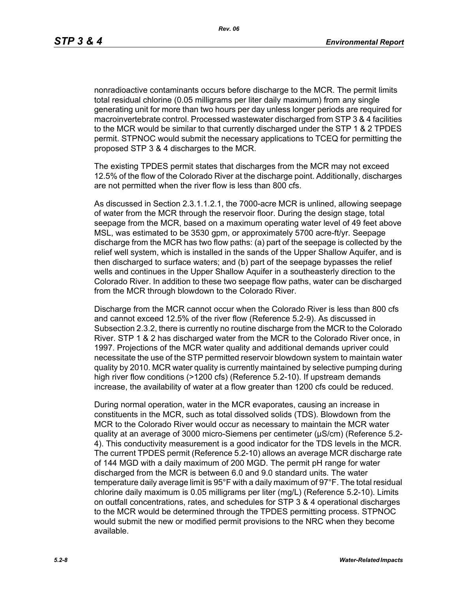nonradioactive contaminants occurs before discharge to the MCR. The permit limits total residual chlorine (0.05 milligrams per liter daily maximum) from any single generating unit for more than two hours per day unless longer periods are required for macroinvertebrate control. Processed wastewater discharged from STP 3 & 4 facilities to the MCR would be similar to that currently discharged under the STP 1 & 2 TPDES permit. STPNOC would submit the necessary applications to TCEQ for permitting the proposed STP 3 & 4 discharges to the MCR.

The existing TPDES permit states that discharges from the MCR may not exceed 12.5% of the flow of the Colorado River at the discharge point. Additionally, discharges are not permitted when the river flow is less than 800 cfs.

As discussed in Section 2.3.1.1.2.1, the 7000-acre MCR is unlined, allowing seepage of water from the MCR through the reservoir floor. During the design stage, total seepage from the MCR, based on a maximum operating water level of 49 feet above MSL, was estimated to be 3530 gpm, or approximately 5700 acre-ft/yr. Seepage discharge from the MCR has two flow paths: (a) part of the seepage is collected by the relief well system, which is installed in the sands of the Upper Shallow Aquifer, and is then discharged to surface waters; and (b) part of the seepage bypasses the relief wells and continues in the Upper Shallow Aquifer in a southeasterly direction to the Colorado River. In addition to these two seepage flow paths, water can be discharged from the MCR through blowdown to the Colorado River.

Discharge from the MCR cannot occur when the Colorado River is less than 800 cfs and cannot exceed 12.5% of the river flow (Reference 5.2-9). As discussed in Subsection 2.3.2, there is currently no routine discharge from the MCR to the Colorado River. STP 1 & 2 has discharged water from the MCR to the Colorado River once, in 1997. Projections of the MCR water quality and additional demands upriver could necessitate the use of the STP permitted reservoir blowdown system to maintain water quality by 2010. MCR water quality is currently maintained by selective pumping during high river flow conditions (>1200 cfs) (Reference 5.2-10). If upstream demands increase, the availability of water at a flow greater than 1200 cfs could be reduced.

During normal operation, water in the MCR evaporates, causing an increase in constituents in the MCR, such as total dissolved solids (TDS). Blowdown from the MCR to the Colorado River would occur as necessary to maintain the MCR water quality at an average of 3000 micro-Siemens per centimeter (µS/cm) (Reference 5.2- 4). This conductivity measurement is a good indicator for the TDS levels in the MCR. The current TPDES permit (Reference 5.2-10) allows an average MCR discharge rate of 144 MGD with a daily maximum of 200 MGD. The permit pH range for water discharged from the MCR is between 6.0 and 9.0 standard units. The water temperature daily average limit is 95°F with a daily maximum of 97°F. The total residual chlorine daily maximum is 0.05 milligrams per liter (mg/L) (Reference 5.2-10). Limits on outfall concentrations, rates, and schedules for STP 3 & 4 operational discharges to the MCR would be determined through the TPDES permitting process. STPNOC would submit the new or modified permit provisions to the NRC when they become available.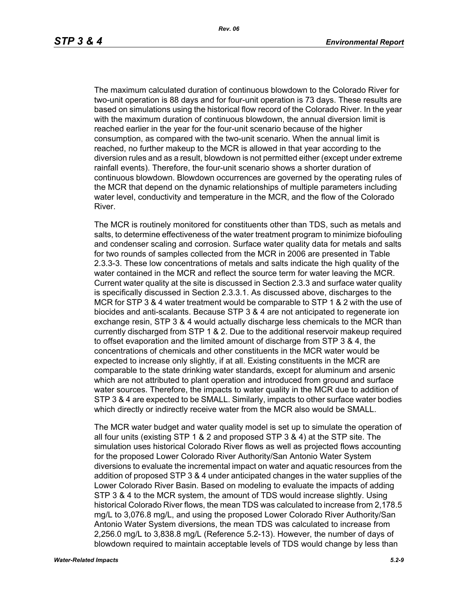The maximum calculated duration of continuous blowdown to the Colorado River for two-unit operation is 88 days and for four-unit operation is 73 days. These results are based on simulations using the historical flow record of the Colorado River. In the year with the maximum duration of continuous blowdown, the annual diversion limit is reached earlier in the year for the four-unit scenario because of the higher consumption, as compared with the two-unit scenario. When the annual limit is reached, no further makeup to the MCR is allowed in that year according to the diversion rules and as a result, blowdown is not permitted either (except under extreme rainfall events). Therefore, the four-unit scenario shows a shorter duration of continuous blowdown. Blowdown occurrences are governed by the operating rules of the MCR that depend on the dynamic relationships of multiple parameters including water level, conductivity and temperature in the MCR, and the flow of the Colorado River.

The MCR is routinely monitored for constituents other than TDS, such as metals and salts, to determine effectiveness of the water treatment program to minimize biofouling and condenser scaling and corrosion. Surface water quality data for metals and salts for two rounds of samples collected from the MCR in 2006 are presented in Table 2.3.3-3. These low concentrations of metals and salts indicate the high quality of the water contained in the MCR and reflect the source term for water leaving the MCR. Current water quality at the site is discussed in Section 2.3.3 and surface water quality is specifically discussed in Section 2.3.3.1. As discussed above, discharges to the MCR for STP 3 & 4 water treatment would be comparable to STP 1 & 2 with the use of biocides and anti-scalants. Because STP 3 & 4 are not anticipated to regenerate ion exchange resin, STP 3 & 4 would actually discharge less chemicals to the MCR than currently discharged from STP 1 & 2. Due to the additional reservoir makeup required to offset evaporation and the limited amount of discharge from STP 3 & 4, the concentrations of chemicals and other constituents in the MCR water would be expected to increase only slightly, if at all. Existing constituents in the MCR are comparable to the state drinking water standards, except for aluminum and arsenic which are not attributed to plant operation and introduced from ground and surface water sources. Therefore, the impacts to water quality in the MCR due to addition of STP 3 & 4 are expected to be SMALL. Similarly, impacts to other surface water bodies which directly or indirectly receive water from the MCR also would be SMALL.

The MCR water budget and water quality model is set up to simulate the operation of all four units (existing STP 1 & 2 and proposed STP 3 & 4) at the STP site. The simulation uses historical Colorado River flows as well as projected flows accounting for the proposed Lower Colorado River Authority/San Antonio Water System diversions to evaluate the incremental impact on water and aquatic resources from the addition of proposed STP 3 & 4 under anticipated changes in the water supplies of the Lower Colorado River Basin. Based on modeling to evaluate the impacts of adding STP 3 & 4 to the MCR system, the amount of TDS would increase slightly. Using historical Colorado River flows, the mean TDS was calculated to increase from 2,178.5 mg/L to 3,076.8 mg/L, and using the proposed Lower Colorado River Authority/San Antonio Water System diversions, the mean TDS was calculated to increase from 2,256.0 mg/L to 3,838.8 mg/L (Reference 5.2-13). However, the number of days of blowdown required to maintain acceptable levels of TDS would change by less than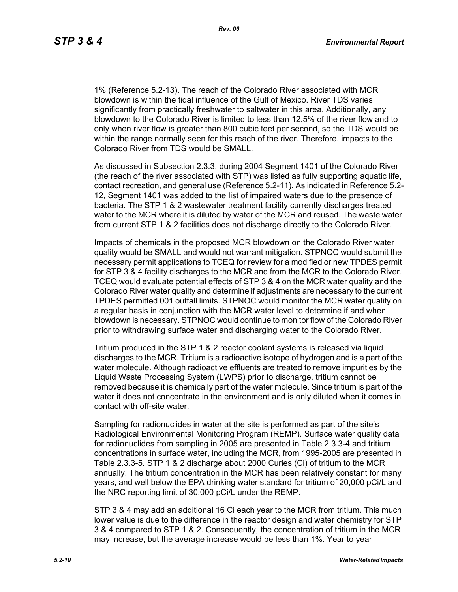*Rev. 06*

1% (Reference 5.2-13). The reach of the Colorado River associated with MCR blowdown is within the tidal influence of the Gulf of Mexico. River TDS varies significantly from practically freshwater to saltwater in this area. Additionally, any blowdown to the Colorado River is limited to less than 12.5% of the river flow and to only when river flow is greater than 800 cubic feet per second, so the TDS would be within the range normally seen for this reach of the river. Therefore, impacts to the Colorado River from TDS would be SMALL.

As discussed in Subsection 2.3.3, during 2004 Segment 1401 of the Colorado River (the reach of the river associated with STP) was listed as fully supporting aquatic life, contact recreation, and general use (Reference 5.2-11). As indicated in Reference 5.2- 12, Segment 1401 was added to the list of impaired waters due to the presence of bacteria. The STP 1 & 2 wastewater treatment facility currently discharges treated water to the MCR where it is diluted by water of the MCR and reused. The waste water from current STP 1 & 2 facilities does not discharge directly to the Colorado River.

Impacts of chemicals in the proposed MCR blowdown on the Colorado River water quality would be SMALL and would not warrant mitigation. STPNOC would submit the necessary permit applications to TCEQ for review for a modified or new TPDES permit for STP 3 & 4 facility discharges to the MCR and from the MCR to the Colorado River. TCEQ would evaluate potential effects of STP 3 & 4 on the MCR water quality and the Colorado River water quality and determine if adjustments are necessary to the current TPDES permitted 001 outfall limits. STPNOC would monitor the MCR water quality on a regular basis in conjunction with the MCR water level to determine if and when blowdown is necessary. STPNOC would continue to monitor flow of the Colorado River prior to withdrawing surface water and discharging water to the Colorado River.

Tritium produced in the STP 1 & 2 reactor coolant systems is released via liquid discharges to the MCR. Tritium is a radioactive isotope of hydrogen and is a part of the water molecule. Although radioactive effluents are treated to remove impurities by the Liquid Waste Processing System (LWPS) prior to discharge, tritium cannot be removed because it is chemically part of the water molecule. Since tritium is part of the water it does not concentrate in the environment and is only diluted when it comes in contact with off-site water.

Sampling for radionuclides in water at the site is performed as part of the site's Radiological Environmental Monitoring Program (REMP). Surface water quality data for radionuclides from sampling in 2005 are presented in Table 2.3.3-4 and tritium concentrations in surface water, including the MCR, from 1995-2005 are presented in Table 2.3.3-5. STP 1 & 2 discharge about 2000 Curies (Ci) of tritium to the MCR annually. The tritium concentration in the MCR has been relatively constant for many years, and well below the EPA drinking water standard for tritium of 20,000 pCi/L and the NRC reporting limit of 30,000 pCi/L under the REMP.

STP 3 & 4 may add an additional 16 Ci each year to the MCR from tritium. This much lower value is due to the difference in the reactor design and water chemistry for STP 3 & 4 compared to STP 1 & 2. Consequently, the concentration of tritium in the MCR may increase, but the average increase would be less than 1%. Year to year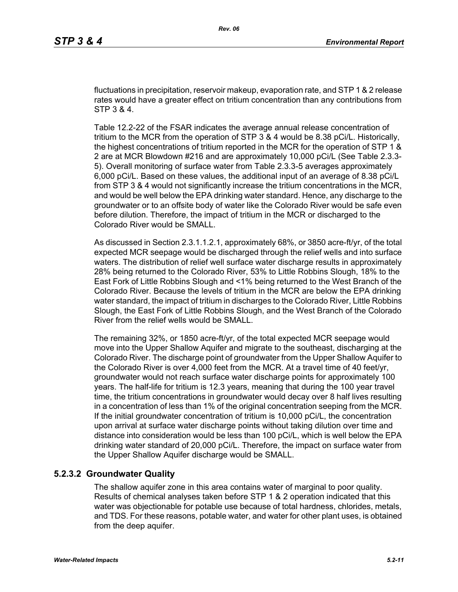fluctuations in precipitation, reservoir makeup, evaporation rate, and STP 1 & 2 release rates would have a greater effect on tritium concentration than any contributions from STP 3 & 4.

Table 12.2-22 of the FSAR indicates the average annual release concentration of tritium to the MCR from the operation of STP 3 & 4 would be 8.38 pCi/L. Historically, the highest concentrations of tritium reported in the MCR for the operation of STP 1 & 2 are at MCR Blowdown #216 and are approximately 10,000 pCi/L (See Table 2.3.3- 5). Overall monitoring of surface water from Table 2.3.3-5 averages approximately 6,000 pCi/L. Based on these values, the additional input of an average of 8.38 pCi/L from STP 3 & 4 would not significantly increase the tritium concentrations in the MCR, and would be well below the EPA drinking water standard. Hence, any discharge to the groundwater or to an offsite body of water like the Colorado River would be safe even before dilution. Therefore, the impact of tritium in the MCR or discharged to the Colorado River would be SMALL.

As discussed in Section 2.3.1.1.2.1, approximately 68%, or 3850 acre-ft/yr, of the total expected MCR seepage would be discharged through the relief wells and into surface waters. The distribution of relief well surface water discharge results in approximately 28% being returned to the Colorado River, 53% to Little Robbins Slough, 18% to the East Fork of Little Robbins Slough and <1% being returned to the West Branch of the Colorado River. Because the levels of tritium in the MCR are below the EPA drinking water standard, the impact of tritium in discharges to the Colorado River, Little Robbins Slough, the East Fork of Little Robbins Slough, and the West Branch of the Colorado River from the relief wells would be SMALL.

The remaining 32%, or 1850 acre-ft/yr, of the total expected MCR seepage would move into the Upper Shallow Aquifer and migrate to the southeast, discharging at the Colorado River. The discharge point of groundwater from the Upper Shallow Aquifer to the Colorado River is over 4,000 feet from the MCR. At a travel time of 40 feet/yr, groundwater would not reach surface water discharge points for approximately 100 years. The half-life for tritium is 12.3 years, meaning that during the 100 year travel time, the tritium concentrations in groundwater would decay over 8 half lives resulting in a concentration of less than 1% of the original concentration seeping from the MCR. If the initial groundwater concentration of tritium is 10,000 pCi/L, the concentration upon arrival at surface water discharge points without taking dilution over time and distance into consideration would be less than 100 pCi/L, which is well below the EPA drinking water standard of 20,000 pCi/L. Therefore, the impact on surface water from the Upper Shallow Aquifer discharge would be SMALL.

## **5.2.3.2 Groundwater Quality**

The shallow aquifer zone in this area contains water of marginal to poor quality. Results of chemical analyses taken before STP 1 & 2 operation indicated that this water was objectionable for potable use because of total hardness, chlorides, metals, and TDS. For these reasons, potable water, and water for other plant uses, is obtained from the deep aquifer.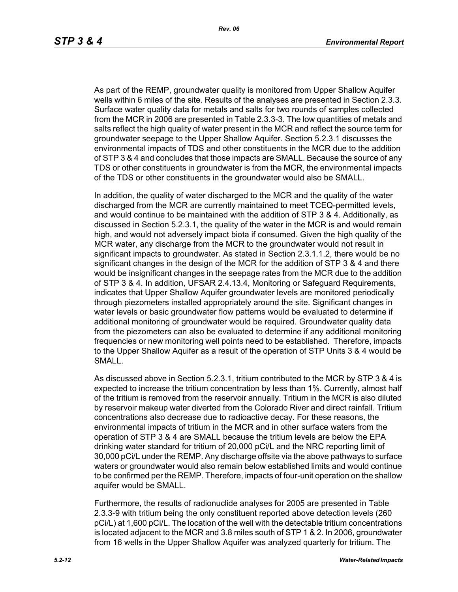*Rev. 06*

As part of the REMP, groundwater quality is monitored from Upper Shallow Aquifer wells within 6 miles of the site. Results of the analyses are presented in Section 2.3.3. Surface water quality data for metals and salts for two rounds of samples collected from the MCR in 2006 are presented in Table 2.3.3-3. The low quantities of metals and salts reflect the high quality of water present in the MCR and reflect the source term for groundwater seepage to the Upper Shallow Aquifer. Section 5.2.3.1 discusses the environmental impacts of TDS and other constituents in the MCR due to the addition of STP 3 & 4 and concludes that those impacts are SMALL. Because the source of any TDS or other constituents in groundwater is from the MCR, the environmental impacts of the TDS or other constituents in the groundwater would also be SMALL.

In addition, the quality of water discharged to the MCR and the quality of the water discharged from the MCR are currently maintained to meet TCEQ-permitted levels, and would continue to be maintained with the addition of STP 3 & 4. Additionally, as discussed in Section 5.2.3.1, the quality of the water in the MCR is and would remain high, and would not adversely impact biota if consumed. Given the high quality of the MCR water, any discharge from the MCR to the groundwater would not result in significant impacts to groundwater. As stated in Section 2.3.1.1.2, there would be no significant changes in the design of the MCR for the addition of STP 3 & 4 and there would be insignificant changes in the seepage rates from the MCR due to the addition of STP 3 & 4. In addition, UFSAR 2.4.13.4, Monitoring or Safeguard Requirements, indicates that Upper Shallow Aquifer groundwater levels are monitored periodically through piezometers installed appropriately around the site. Significant changes in water levels or basic groundwater flow patterns would be evaluated to determine if additional monitoring of groundwater would be required. Groundwater quality data from the piezometers can also be evaluated to determine if any additional monitoring frequencies or new monitoring well points need to be established. Therefore, impacts to the Upper Shallow Aquifer as a result of the operation of STP Units 3 & 4 would be SMALL.

As discussed above in Section 5.2.3.1, tritium contributed to the MCR by STP 3 & 4 is expected to increase the tritium concentration by less than 1%. Currently, almost half of the tritium is removed from the reservoir annually. Tritium in the MCR is also diluted by reservoir makeup water diverted from the Colorado River and direct rainfall. Tritium concentrations also decrease due to radioactive decay. For these reasons, the environmental impacts of tritium in the MCR and in other surface waters from the operation of STP 3 & 4 are SMALL because the tritium levels are below the EPA drinking water standard for tritium of 20,000 pCi/L and the NRC reporting limit of 30,000 pCi/L under the REMP. Any discharge offsite via the above pathways to surface waters or groundwater would also remain below established limits and would continue to be confirmed per the REMP. Therefore, impacts of four-unit operation on the shallow aquifer would be SMALL.

Furthermore, the results of radionuclide analyses for 2005 are presented in Table 2.3.3-9 with tritium being the only constituent reported above detection levels (260 pCi/L) at 1,600 pCi/L. The location of the well with the detectable tritium concentrations is located adjacent to the MCR and 3.8 miles south of STP 1 & 2. In 2006, groundwater from 16 wells in the Upper Shallow Aquifer was analyzed quarterly for tritium. The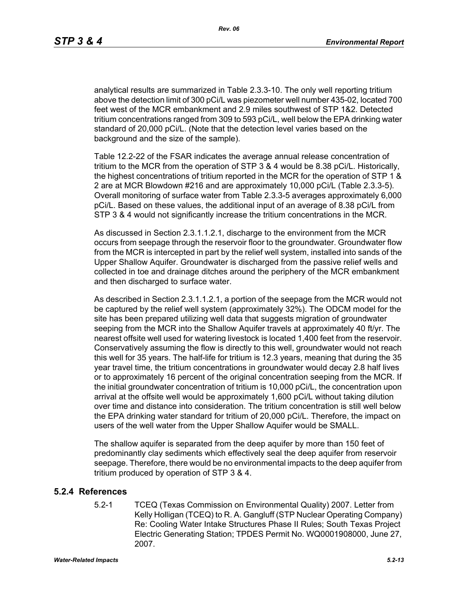*Rev. 06*

analytical results are summarized in Table 2.3.3-10. The only well reporting tritium above the detection limit of 300 pCi/L was piezometer well number 435-02, located 700 feet west of the MCR embankment and 2.9 miles southwest of STP 1&2. Detected tritium concentrations ranged from 309 to 593 pCi/L, well below the EPA drinking water standard of 20,000 pCi/L. (Note that the detection level varies based on the background and the size of the sample).

Table 12.2-22 of the FSAR indicates the average annual release concentration of tritium to the MCR from the operation of STP 3 & 4 would be 8.38 pCi/L. Historically, the highest concentrations of tritium reported in the MCR for the operation of STP 1 & 2 are at MCR Blowdown #216 and are approximately 10,000 pCi/L (Table 2.3.3-5). Overall monitoring of surface water from Table 2.3.3-5 averages approximately 6,000 pCi/L. Based on these values, the additional input of an average of 8.38 pCi/L from STP 3 & 4 would not significantly increase the tritium concentrations in the MCR.

As discussed in Section 2.3.1.1.2.1, discharge to the environment from the MCR occurs from seepage through the reservoir floor to the groundwater. Groundwater flow from the MCR is intercepted in part by the relief well system, installed into sands of the Upper Shallow Aquifer. Groundwater is discharged from the passive relief wells and collected in toe and drainage ditches around the periphery of the MCR embankment and then discharged to surface water.

As described in Section 2.3.1.1.2.1, a portion of the seepage from the MCR would not be captured by the relief well system (approximately 32%). The ODCM model for the site has been prepared utilizing well data that suggests migration of groundwater seeping from the MCR into the Shallow Aquifer travels at approximately 40 ft/yr. The nearest offsite well used for watering livestock is located 1,400 feet from the reservoir. Conservatively assuming the flow is directly to this well, groundwater would not reach this well for 35 years. The half-life for tritium is 12.3 years, meaning that during the 35 year travel time, the tritium concentrations in groundwater would decay 2.8 half lives or to approximately 16 percent of the original concentration seeping from the MCR. If the initial groundwater concentration of tritium is 10,000 pCi/L, the concentration upon arrival at the offsite well would be approximately 1,600 pCi/L without taking dilution over time and distance into consideration. The tritium concentration is still well below the EPA drinking water standard for tritium of 20,000 pCi/L. Therefore, the impact on users of the well water from the Upper Shallow Aquifer would be SMALL.

The shallow aquifer is separated from the deep aquifer by more than 150 feet of predominantly clay sediments which effectively seal the deep aquifer from reservoir seepage. Therefore, there would be no environmental impacts to the deep aquifer from tritium produced by operation of STP 3 & 4.

## **5.2.4 References**

5.2-1 TCEQ (Texas Commission on Environmental Quality) 2007. Letter from Kelly Holligan (TCEQ) to R. A. Gangluff (STP Nuclear Operating Company) Re: Cooling Water Intake Structures Phase II Rules; South Texas Project Electric Generating Station; TPDES Permit No. WQ0001908000, June 27, 2007.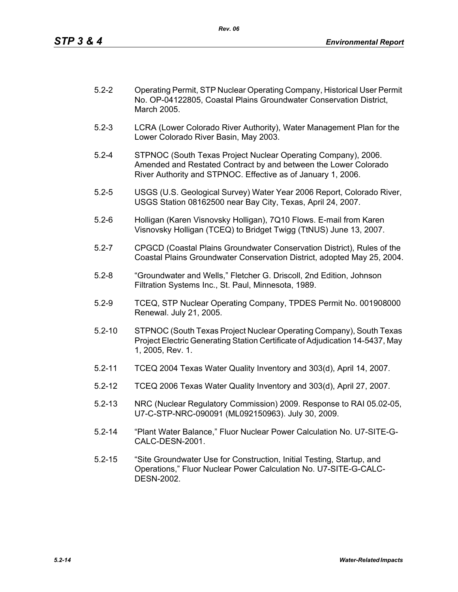| $5.2 - 2$ | Operating Permit, STP Nuclear Operating Company, Historical User Permit<br>No. OP-04122805, Coastal Plains Groundwater Conservation District, |
|-----------|-----------------------------------------------------------------------------------------------------------------------------------------------|
|           | March 2005.                                                                                                                                   |

- 5.2-3 LCRA (Lower Colorado River Authority), Water Management Plan for the Lower Colorado River Basin, May 2003.
- 5.2-4 STPNOC (South Texas Project Nuclear Operating Company), 2006. Amended and Restated Contract by and between the Lower Colorado River Authority and STPNOC. Effective as of January 1, 2006.
- 5.2-5 USGS (U.S. Geological Survey) Water Year 2006 Report, Colorado River, USGS Station 08162500 near Bay City, Texas, April 24, 2007.
- 5.2-6 Holligan (Karen Visnovsky Holligan), 7Q10 Flows. E-mail from Karen Visnovsky Holligan (TCEQ) to Bridget Twigg (TtNUS) June 13, 2007.
- 5.2-7 CPGCD (Coastal Plains Groundwater Conservation District), Rules of the Coastal Plains Groundwater Conservation District, adopted May 25, 2004.
- 5.2-8 "Groundwater and Wells," Fletcher G. Driscoll, 2nd Edition, Johnson Filtration Systems Inc., St. Paul, Minnesota, 1989.
- 5.2-9 TCEQ, STP Nuclear Operating Company, TPDES Permit No. 001908000 Renewal. July 21, 2005.
- 5.2-10 STPNOC (South Texas Project Nuclear Operating Company), South Texas Project Electric Generating Station Certificate of Adjudication 14-5437, May 1, 2005, Rev. 1.
- 5.2-11 TCEQ 2004 Texas Water Quality Inventory and 303(d), April 14, 2007.
- 5.2-12 TCEQ 2006 Texas Water Quality Inventory and 303(d), April 27, 2007.
- 5.2-13 NRC (Nuclear Regulatory Commission) 2009. Response to RAI 05.02-05, U7-C-STP-NRC-090091 (ML092150963). July 30, 2009.
- 5.2-14 "Plant Water Balance," Fluor Nuclear Power Calculation No. U7-SITE-G-CALC-DESN-2001.
- 5.2-15 "Site Groundwater Use for Construction, Initial Testing, Startup, and Operations," Fluor Nuclear Power Calculation No. U7-SITE-G-CALC-DESN-2002.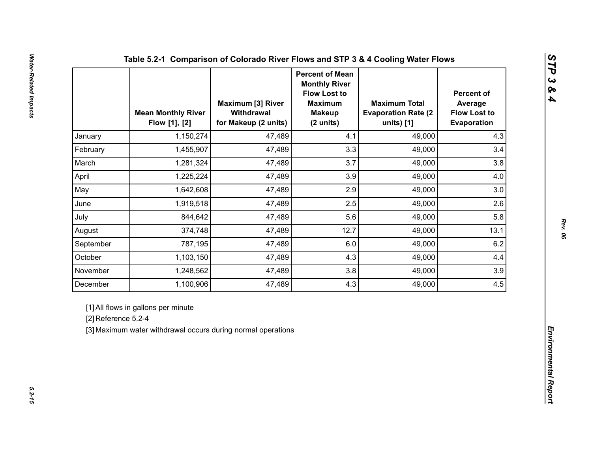|                     | <b>Mean Monthly River</b><br>Flow [1], [2]                                                          | <b>Maximum [3] River</b><br>Withdrawal<br>for Makeup (2 units) | <b>Percent of Mean</b><br><b>Monthly River</b><br><b>Flow Lost to</b><br><b>Maximum</b><br><b>Makeup</b><br>(2 units) | <b>Maximum Total</b><br><b>Evaporation Rate (2)</b><br>units) [1] | <b>Percent of</b><br>Average<br><b>Flow Lost to</b><br>Evaporation |  |
|---------------------|-----------------------------------------------------------------------------------------------------|----------------------------------------------------------------|-----------------------------------------------------------------------------------------------------------------------|-------------------------------------------------------------------|--------------------------------------------------------------------|--|
| January             | 1,150,274                                                                                           | 47,489                                                         | 4.1                                                                                                                   | 49,000                                                            | 4.3                                                                |  |
| February            | 1,455,907                                                                                           | 47,489                                                         | 3.3                                                                                                                   | 49,000                                                            | 3.4                                                                |  |
| March               | 1,281,324                                                                                           | 47,489                                                         | 3.7                                                                                                                   | 49,000                                                            | 3.8                                                                |  |
| April               | 1,225,224                                                                                           | 47,489                                                         | 3.9                                                                                                                   | 49,000                                                            | 4.0                                                                |  |
| May                 | 1,642,608                                                                                           | 47,489                                                         | 2.9                                                                                                                   | 49,000                                                            | 3.0                                                                |  |
| June                | 1,919,518                                                                                           | 47,489                                                         | 2.5                                                                                                                   | 49,000                                                            | 2.6                                                                |  |
| July                | 844,642                                                                                             | 47,489                                                         | 5.6                                                                                                                   | 49,000                                                            | 5.8                                                                |  |
| August              | 374,748                                                                                             | 47,489                                                         | 12.7                                                                                                                  | 49,000                                                            | 13.1                                                               |  |
| September           | 787,195                                                                                             | 47,489                                                         | 6.0                                                                                                                   | 49,000                                                            | 6.2                                                                |  |
| October             | 1,103,150                                                                                           | 47,489                                                         | 4.3                                                                                                                   | 49,000                                                            | 4.4                                                                |  |
| November            | 1,248,562                                                                                           | 47,489                                                         | 3.8                                                                                                                   | 49,000                                                            | 3.9                                                                |  |
| December            | 1,100,906                                                                                           | 47,489                                                         | 4.3                                                                                                                   | 49,000                                                            | 4.5                                                                |  |
| [2] Reference 5.2-4 | [1] All flows in gallons per minute<br>[3] Maximum water withdrawal occurs during normal operations |                                                                |                                                                                                                       |                                                                   |                                                                    |  |

*STP 3 & 4*